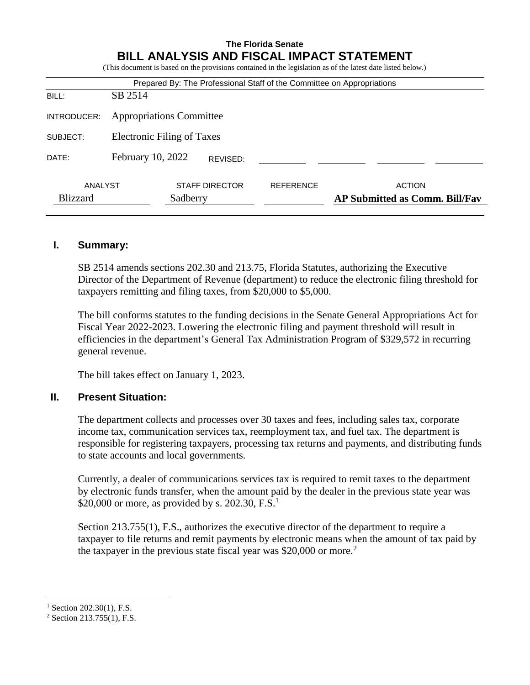| <b>The Florida Senate</b><br>BILL ANALYSIS AND FISCAL IMPACT STATEMENT<br>(This document is based on the provisions contained in the legislation as of the latest date listed below.) |                                 |                       |                  |  |               |  |  |
|---------------------------------------------------------------------------------------------------------------------------------------------------------------------------------------|---------------------------------|-----------------------|------------------|--|---------------|--|--|
| Prepared By: The Professional Staff of the Committee on Appropriations                                                                                                                |                                 |                       |                  |  |               |  |  |
| BILL:                                                                                                                                                                                 | SB 2514                         |                       |                  |  |               |  |  |
| INTRODUCER:                                                                                                                                                                           | <b>Appropriations Committee</b> |                       |                  |  |               |  |  |
| SUBJECT:                                                                                                                                                                              | Electronic Filing of Taxes      |                       |                  |  |               |  |  |
| DATE:                                                                                                                                                                                 | February 10, 2022               | REVISED:              |                  |  |               |  |  |
| ANALYST                                                                                                                                                                               |                                 | <b>STAFF DIRECTOR</b> | <b>REFERENCE</b> |  | <b>ACTION</b> |  |  |

Blizzard Sadberry **AP Submitted as Comm. Bill/Fav**

#### **I. Summary:**

SB 2514 amends sections 202.30 and 213.75, Florida Statutes, authorizing the Executive Director of the Department of Revenue (department) to reduce the electronic filing threshold for taxpayers remitting and filing taxes, from \$20,000 to \$5,000.

The bill conforms statutes to the funding decisions in the Senate General Appropriations Act for Fiscal Year 2022-2023. Lowering the electronic filing and payment threshold will result in efficiencies in the department's General Tax Administration Program of \$329,572 in recurring general revenue.

The bill takes effect on January 1, 2023.

## **II. Present Situation:**

The department collects and processes over 30 taxes and fees, including sales tax, corporate income tax, communication services tax, reemployment tax, and fuel tax. The department is responsible for registering taxpayers, processing tax returns and payments, and distributing funds to state accounts and local governments.

Currently, a dealer of communications services tax is required to remit taxes to the department by electronic funds transfer, when the amount paid by the dealer in the previous state year was \$20,000 or more, as provided by s. 202.30, F.S.<sup>1</sup>

Section 213.755(1), F.S., authorizes the executive director of the department to require a taxpayer to file returns and remit payments by electronic means when the amount of tax paid by the taxpayer in the previous state fiscal year was \$20,000 or more.<sup>2</sup>

 $\overline{a}$ 

 $1$  Section 202.30(1), F.S.

<sup>2</sup> Section 213.755(1), F.S.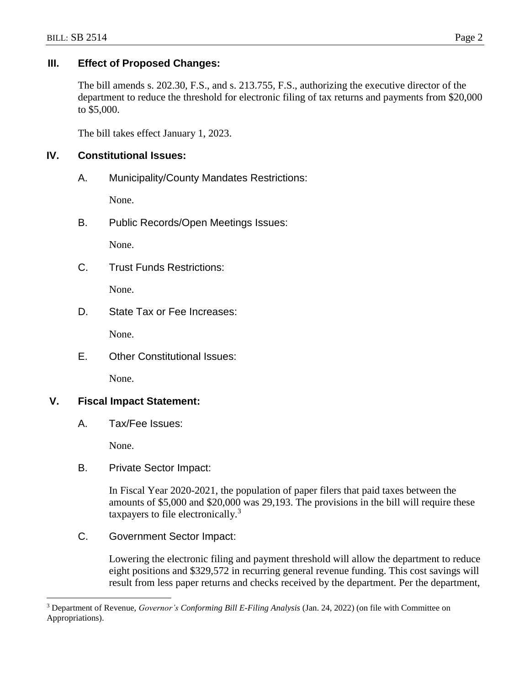# **III. Effect of Proposed Changes:**

The bill amends s. 202.30, F.S., and s. 213.755, F.S., authorizing the executive director of the department to reduce the threshold for electronic filing of tax returns and payments from \$20,000 to \$5,000.

The bill takes effect January 1, 2023.

# **IV. Constitutional Issues:**

A. Municipality/County Mandates Restrictions:

None.

B. Public Records/Open Meetings Issues:

None.

C. Trust Funds Restrictions:

None.

D. State Tax or Fee Increases:

None.

E. Other Constitutional Issues:

None.

# **V. Fiscal Impact Statement:**

A. Tax/Fee Issues:

None.

 $\overline{a}$ 

B. Private Sector Impact:

In Fiscal Year 2020-2021, the population of paper filers that paid taxes between the amounts of \$5,000 and \$20,000 was 29,193. The provisions in the bill will require these taxpayers to file electronically.<sup>3</sup>

C. Government Sector Impact:

Lowering the electronic filing and payment threshold will allow the department to reduce eight positions and \$329,572 in recurring general revenue funding. This cost savings will result from less paper returns and checks received by the department. Per the department,

<sup>3</sup> Department of Revenue, *Governor's Conforming Bill E-Filing Analysis* (Jan. 24, 2022) (on file with Committee on Appropriations).